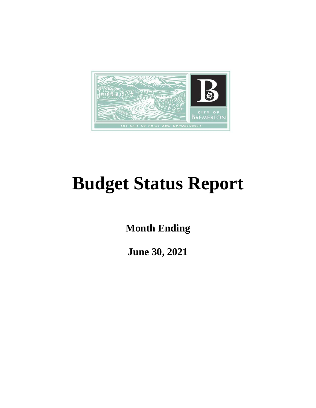

# **Budget Status Report**

**Month Ending**

**June 30, 2021**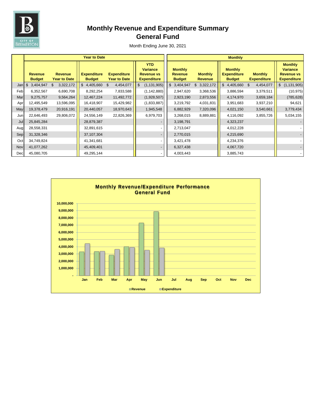

# **Monthly Revenue and Expenditure Summary General Fund**

|     | <b>Year to Date</b>             |                                       |                                     |                                    |                                                                          |  |                                                   | <b>Monthly</b>                   |  |                                                       |  |                                      |  |                                                                              |
|-----|---------------------------------|---------------------------------------|-------------------------------------|------------------------------------|--------------------------------------------------------------------------|--|---------------------------------------------------|----------------------------------|--|-------------------------------------------------------|--|--------------------------------------|--|------------------------------------------------------------------------------|
|     | <b>Revenue</b><br><b>Budget</b> | <b>Revenue</b><br><b>Year to Date</b> | <b>Expenditure</b><br><b>Budget</b> | <b>Expenditure</b><br>Year to Date | <b>YTD</b><br><b>Variance</b><br><b>Revenue vs</b><br><b>Expenditure</b> |  | <b>Monthly</b><br><b>Revenue</b><br><b>Budget</b> | <b>Monthly</b><br><b>Revenue</b> |  | <b>Monthly</b><br><b>Expenditure</b><br><b>Budget</b> |  | <b>Monthly</b><br><b>Expenditure</b> |  | <b>Monthly</b><br><b>Variance</b><br><b>Revenue vs</b><br><b>Expenditure</b> |
| Jan | 3,404,947<br>\$                 | 3,322,172<br>\$                       | $\mathfrak{S}$<br>4,405,660 \$      | 4,454,077                          | (1, 131, 905)<br>\$                                                      |  | \$3,404,947                                       | 3,322,172<br>\$                  |  | $$4,405,660$ \$                                       |  | 4,454,077                            |  | \$(1,131,905)                                                                |
| Feb | 6,352,567                       | 6,690,708                             | 8,292,254                           | 7,833,588                          | (1, 142, 880)                                                            |  | 2,947,620                                         | 3,368,536                        |  | 3,886,594                                             |  | 3,379,511                            |  | (10, 975)                                                                    |
| Mar | 9,275,757                       | 9,564,264                             | 12,467,224                          | 11,492,772                         | (1,928,507)                                                              |  | 2,923,190                                         | 2,873,556                        |  | 4,174,970                                             |  | 3,659,184                            |  | (785, 628)                                                                   |
| Apr | 12,495,549                      | 13,596,095                            | 16,418,907                          | 15,429,982                         | (1,833,887)                                                              |  | 3,219,792                                         | 4,031,831                        |  | 3,951,683                                             |  | 3,937,210                            |  | 94,621                                                                       |
| May | 19,378,479                      | 20,916,191                            | 20,440,057                          | 18,970,643                         | 1,945,548                                                                |  | 6,882,929                                         | 7,320,096                        |  | 4,021,150                                             |  | 3,540,661                            |  | 3,779,434                                                                    |
| Jun | 22,646,493                      | 29,806,072                            | 24,556,149                          | 22,826,369                         | 6,979,703                                                                |  | 3,268,015                                         | 8,889,881                        |  | 4,116,092                                             |  | 3,855,726                            |  | 5,034,155                                                                    |
| Jul | 25,845,284                      |                                       | 28,879,387                          |                                    |                                                                          |  | 3,198,791                                         |                                  |  | 4,323,237                                             |  |                                      |  |                                                                              |
| Aug | 28,558,331                      |                                       | 32,891,615                          |                                    |                                                                          |  | 2,713,047                                         |                                  |  | 4,012,228                                             |  |                                      |  |                                                                              |
| Sep | 31,328,346                      |                                       | 37,107,304                          |                                    |                                                                          |  | 2,770,015                                         |                                  |  | 4,215,690                                             |  |                                      |  |                                                                              |
| Oct | 34,749,824                      |                                       | 41,341,681                          |                                    |                                                                          |  | 3,421,478                                         |                                  |  | 4,234,376                                             |  |                                      |  |                                                                              |
| Nov | 41,077,262                      |                                       | 45,409,401                          |                                    | $\overline{\phantom{a}}$                                                 |  | 6,327,438                                         |                                  |  | 4,067,720                                             |  |                                      |  |                                                                              |
| Dec | 45,080,705                      |                                       | 49,295,144                          |                                    |                                                                          |  | 4,003,443                                         |                                  |  | 3,885,743                                             |  |                                      |  |                                                                              |

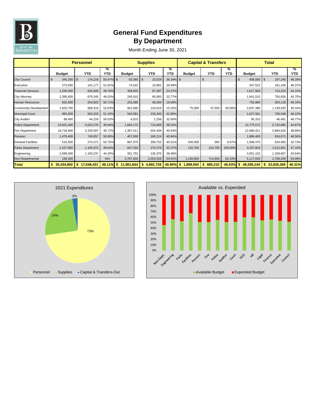

# **General Fund Expenditures By Department**

|                              |               | <b>Personnel</b>      | <b>Supplies</b> |               |                    |                 | <b>Capital &amp; Transfers</b> |                | <b>Total</b>    |                  |                 |                 |
|------------------------------|---------------|-----------------------|-----------------|---------------|--------------------|-----------------|--------------------------------|----------------|-----------------|------------------|-----------------|-----------------|
|                              | <b>Budget</b> | <b>YTD</b>            | %<br>YTD        | <b>Budget</b> | <b>YTD</b>         | %<br><b>YTD</b> | <b>Budget</b>                  | YTD            | %<br><b>YTD</b> | <b>Budget</b>    | <b>YTD</b>      | %<br><b>YTD</b> |
| <b>City Council</b>          | 345,200<br>\$ | 174,216<br>$\sqrt{3}$ | 50.47% \$       | 63,365        | 23,029<br><b>S</b> | 36.34% \$       |                                | $\mathfrak{s}$ |                 | \$<br>408,565 \$ | 197,245         | 48.28%          |
| Executive                    | 273,500       | 141,177               | 51.62%          | 74,022        | 19,981             | 26.99%          |                                |                |                 | 347,522          | 161,158         | 46.37%          |
| <b>Financial Services</b>    | 1,259,300     | 626,828               | 49.78%          | 358,603       | 87,397             | 24.37%          |                                |                |                 | 1,617,903        | 714,224         | 44.15%          |
| <b>City Attorney</b>         | 1,395,600     | 670,345               | 48.03%          | 245,915       | 80,583             | 32.77%          |                                |                |                 | 1,641,515        | 750,928         | 45.75%          |
| <b>Human Resources</b>       | 502,500       | 254,823               | 50.71%          | 253,385       | 48,294             | 19.06%          |                                |                |                 | 755,885          | 303,118         | 40.10%          |
| <b>Community Development</b> | 1,820,700     | 958,316               | 52.63%          | 941,680       | 143,619            | 15.25%          | 75,000                         | 37,500         | 50.00%          | 2,837,380        | 1,139,435       | 40.16%          |
| <b>Municipal Court</b>       | 983,000       | 503,203               | 51.19%          | 544,581       | 233,345            | 42.85%          |                                |                |                 | 1,527,581        | 736,548         | 48.22%          |
| <b>City Auditor</b>          | 88,400        | 44,224                | 50.03%          | 6,915         | 2,258              | 32.65%          |                                |                |                 | 95,315           | 46,481          | 48.77%          |
| <b>Police Department</b>     | 10,931,400    | 5,022,276             | 45.94%          | 1,844,172     | 710,609            | 38.53%          |                                |                |                 | 12,775,572       | 5,732,885       | 44.87%          |
| <b>Fire Department</b>       | 10,718,900    | 5,329,587             | 49.72%          | 1,367,511     | 554,439            | 40.54%          |                                |                |                 | 12,086,411       | 5,884,026       | 48.68%          |
| Pension                      | 1,479,400     | 749,857               | 50.69%          | 407,000       | 166,214            | 40.84%          |                                |                |                 | 1,886,400        | 916,071         | 48.56%          |
| <b>General Facilities</b>    | 510,500       | 274,371               | 53.75%          | 887,975       | 359,752            | 40.51%          | 540,000                        | 360            | 0.07%           | 1,938,475        | 634.483         | 32.73%          |
| <b>Parks Department</b>      | 2,227,800     | 1,105,973             | 49.64%          | 847,334       | 274,278            | 32.37%          | 132,700                        | 132,700        | 100.00%         | 3,207,834        | 1,512,951       | 47.16%          |
| Engineering                  | 2,699,400     | 1,193,237             | 44.20%          | 351,752       | 135,370            | 38.48%          |                                |                |                 | 3,051,152        | 1,328,607       | 43.54%          |
| Non-Departmental             | 199,200       |                       | N/A             | 3,767,634     | 2,053,559          | 54.51%          | 1,150,800                      | 714,650        | 62.10%          | 5,117,634        | 2,768,209       | 54.09%          |
| <b>Total</b>                 | 35,434,800    | 17,048,431            | $48.11\%$ \$    | 11,961,844    | 4,892,728          | 40.90%          | $\mathbf{s}$<br>1,898,500      | 885,210<br>\$  | 46.63%          | 49,295,144<br>\$ | 22,826,369<br>S | 46.31%          |



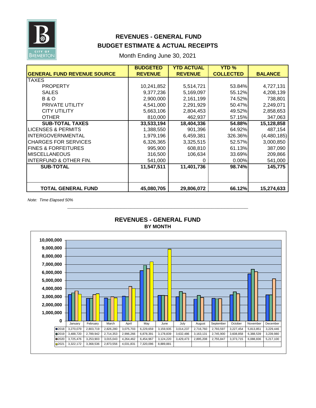

# **REVENUES - GENERAL FUND BUDGET ESTIMATE & ACTUAL RECEIPTS**

Month Ending June 30, 2021

|                                    | <b>BUDGETED</b> | <b>YTD ACTUAL</b> | <b>YTD %</b>     |                |
|------------------------------------|-----------------|-------------------|------------------|----------------|
| <b>GENERAL FUND REVENUE SOURCE</b> | <b>REVENUE</b>  | <b>REVENUE</b>    | <b>COLLECTED</b> | <b>BALANCE</b> |
| TAXES                              |                 |                   |                  |                |
| <b>PROPERTY</b>                    | 10,241,852      | 5,514,721         | 53.84%           | 4,727,131      |
| <b>SALES</b>                       | 9,377,236       | 5,169,097         | 55.12%           | 4,208,139      |
| <b>B&amp;O</b>                     | 2,900,000       | 2,161,199         | 74.52%           | 738,801        |
| PRIVATE UTILITY                    | 4,541,000       | 2,291,929         | 50.47%           | 2,249,071      |
| <b>CITY UTILITY</b>                | 5,663,106       | 2,804,453         | 49.52%           | 2,858,653      |
| <b>OTHER</b>                       | 810,000         | 462,937           | 57.15%           | 347,063        |
| <b>SUB-TOTAL TAXES</b>             | 33,533,194      | 18,404,336        | 54.88%           | 15,128,858     |
| LICENSES & PERMITS                 | 1,388,550       | 901,396           | 64.92%           | 487,154        |
| <b>INTERGOVERNMENTAL</b>           | 1,979,196       | 6,459,381         | 326.36%          | (4,480,185)    |
| <b>CHARGES FOR SERVICES</b>        | 6,326,365       | 3,325,515         | 52.57%           | 3,000,850      |
| <b>FINES &amp; FORFEITURES</b>     | 995,900         | 608,810           | 61.13%           | 387,090        |
| <b>MISCELLANEOUS</b>               | 316,500         | 106,634           | 33.69%           | 209,866        |
| <b>INTERFUND &amp; OTHER FIN.</b>  | 541,000         | 0                 | 0.00%            | 541,000        |
| <b>SUB-TOTAL</b>                   | 11,547,511      | 11,401,736        | 98.74%           | 145,775        |
|                                    |                 |                   |                  |                |
|                                    |                 |                   |                  |                |
| <b>TOTAL GENERAL FUND</b>          | 45,080,705      | 29,806,072        | 66.12%           | 15,274,633     |

*Note: Time Elapsed 50%*



# **BY MONTH REVENUES - GENERAL FUND**

**\_\_\_\_\_\_\_\_\_\_\_\_\_\_\_\_\_\_\_\_\_\_\_\_\_\_\_\_\_\_\_\_\_\_\_\_\_\_\_\_\_\_\_\_\_\_\_\_\_\_\_\_\_\_**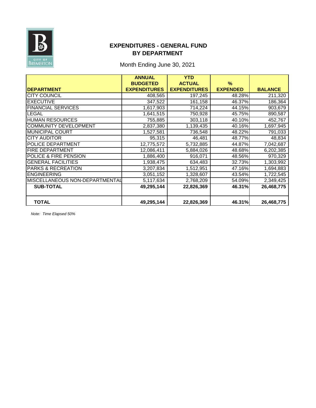

#### **EXPENDITURES - GENERAL FUND BY DEPARTMENT**

### Month Ending June 30, 2021

|                                | <b>ANNUAL</b>       | <b>YTD</b>          |                 |                |
|--------------------------------|---------------------|---------------------|-----------------|----------------|
|                                | <b>BUDGETED</b>     | <b>ACTUAL</b>       | $\%$            |                |
| <b>DEPARTMENT</b>              | <b>EXPENDITURES</b> | <b>EXPENDITURES</b> | <b>EXPENDED</b> | <b>BALANCE</b> |
| <b>CITY COUNCIL</b>            | 408,565             | 197,245             | 48.28%          | 211,320        |
| <b>EXECUTIVE</b>               | 347,522             | 161,158             | 46.37%          | 186,364        |
| <b>FINANCIAL SERVICES</b>      | 1,617,903           | 714,224             | 44.15%          | 903,679        |
| LEGAL                          | 1,641,515           | 750,928             | 45.75%          | 890,587        |
| <b>HUMAN RESOURCES</b>         | 755,885             | 303,118             | 40.10%          | 452,767        |
| <b>COMMUNITY DEVELOPMENT</b>   | 2,837,380           | 1,139,435           | 40.16%          | 1,697,945      |
| <b>MUNICIPAL COURT</b>         | 1,527,581           | 736,548             | 48.22%          | 791,033        |
| <b>CITY AUDITOR</b>            | 95,315              | 46,481              | 48.77%          | 48,834         |
| <b>POLICE DEPARTMENT</b>       | 12,775,572          | 5,732,885           | 44.87%          | 7,042,687      |
| <b>FIRE DEPARTMENT</b>         | 12,086,411          | 5,884,026           | 48.68%          | 6,202,385      |
| POLICE & FIRE PENSION          | 1,886,400           | 916,071             | 48.56%          | 970,329        |
| <b>GENERAL FACILITIES</b>      | 1,938,475           | 634,483             | 32.73%          | 1,303,992      |
| <b>PARKS &amp; RECREATION</b>  | 3,207,834           | 1,512,951           | 47.16%          | 1,694,883      |
| <b>ENGINEERING</b>             | 3,051,152           | 1,328,607           | 43.54%          | 1,722,545      |
| MISCELLANEOUS NON-DEPARTMENTAL | 5,117,634           | 2,768,209           | 54.09%          | 2,349,425      |
| <b>SUB-TOTAL</b>               | 49,295,144          | 22,826,369          | 46.31%          | 26,468,775     |
|                                |                     |                     |                 |                |
| <b>TOTAL</b>                   | 49,295,144          | 22,826,369          | 46.31%          | 26,468,775     |

*Note: Time Elapsed 50%*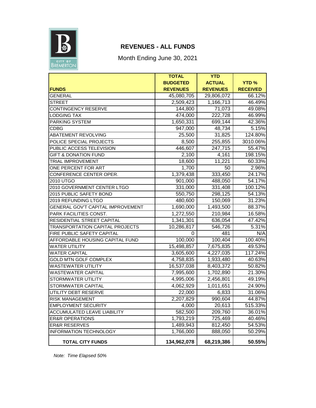

# **REVENUES - ALL FUNDS**

Month Ending June 30, 2021

|                                          | <b>TOTAL</b>    | <b>YTD</b>      |                 |
|------------------------------------------|-----------------|-----------------|-----------------|
|                                          | <b>BUDGETED</b> | <b>ACTUAL</b>   | <b>YTD%</b>     |
| <b>FUNDS</b>                             | <b>REVENUES</b> | <b>REVENUES</b> | <b>RECEIVED</b> |
| <b>GENERAL</b>                           | 45,080,705      | 29,806,072      | 66.12%          |
| <b>STREET</b>                            | 2,509,423       | 1,166,713       | 46.49%          |
| <b>CONTINGENCY RESERVE</b>               | 144,800         | 71,073          | 49.08%          |
| <b>LODGING TAX</b>                       | 474,000         | 222,728         | 46.99%          |
| PARKING SYSTEM                           | 1,650,331       | 699,144         | 42.36%          |
| <b>CDBG</b>                              | 947,000         | 48,734          | 5.15%           |
| ABATEMENT REVOLVING                      | 25,500          | 31,825          | 124.80%         |
| POLICE SPECIAL PROJECTS                  | 8,500           | 255,855         | 3010.06%        |
| PUBLIC ACCESS TELEVISION                 | 446,607         | 247,715         | 55.47%          |
| <b>GIFT &amp; DONATION FUND</b>          | 2,100           | 4,161           | 198.15%         |
| <b>TRIAL IMPROVEMENT</b>                 | 18,600          | 11,221          | 60.33%          |
| ONE PERCENT FOR ART                      | 1,700           | 50              | 2.96%           |
| CONFERENCE CENTER OPER.                  | 1,379,438       | 333,450         | 24.17%          |
| 2010 UTGO                                | 901,000         | 488,050         | 54.17%          |
| 2010 GOVERNMENT CENTER LTGO              | 331,000         | 331,408         | 100.12%         |
| 2015 PUBLIC SAFETY BOND                  | 550,750         | 298,125         | 54.13%          |
| 2019 REFUNDING LTGO                      | 480,600         | 150,069         | 31.23%          |
| <b>GENERAL GOV'T CAPITAL IMPROVEMENT</b> | 1,690,000       | 1,493,500       | 88.37%          |
| PARK FACILITIES CONST.                   | 1,272,550       | 210,984         | 16.58%          |
| RESIDENTIAL STREET CAPITAL               | 1,341,301       | 636,054         | 47.42%          |
| <b>TRANSPORTATION CAPITAL PROJECTS</b>   | 10,286,817      | 546,726         | 5.31%           |
| FIRE PUBLIC SAFETY CAPITAL               | 0               | 481             | N/A             |
| AFFORDABLE HOUSING CAPITAL FUND          | 100,000         | 100,404         | 100.40%         |
| <b>WATER UTILITY</b>                     | 15,498,857      | 7,675,835       | 49.53%          |
| <b>WATER CAPITAL</b>                     | 3,605,600       | 4,227,035       | 117.24%         |
| <b>GOLD MTN GOLF COMPLEX</b>             | 4,758,835       | 1,933,480       | 40.63%          |
| <b>WASTEWATER UTILITY</b>                | 16,537,038      | 8,403,372       | 50.82%          |
| <b>WASTEWATER CAPITAL</b>                | 7,995,600       | 1,702,890       | 21.30%          |
| STORMWATER UTILITY                       | 4,995,006       | 2,456,801       | 49.19%          |
| STORMWATER CAPITAL                       | 4,062,929       | 1,011,651       | 24.90%          |
| UTILITY DEBT RESERVE                     | 22,000          | 6,833           | 31.06%          |
| <b>RISK MANAGEMENT</b>                   | 2,207,829       | 990,604         | 44.87%          |
| <b>EMPLOYMENT SECURITY</b>               | 4,000           | 20,613          | 515.33%         |
| <b>ACCUMULATED LEAVE LIABILITY</b>       | 582,500         | 209,760         | 36.01%          |
| <b>ER&amp;R OPERATIONS</b>               | 1,793,219       | 725,469         | 40.46%          |
| <b>ER&amp;R RESERVES</b>                 | 1,489,943       | 812,450         | 54.53%          |
| <b>INFORMATION TECHNOLOGY</b>            | 1,766,000       | 888,050         | 50.29%          |
| <b>TOTAL CITY FUNDS</b>                  | 134,962,078     | 68,219,386      | 50.55%          |

*Note: Time Elapsed 50%*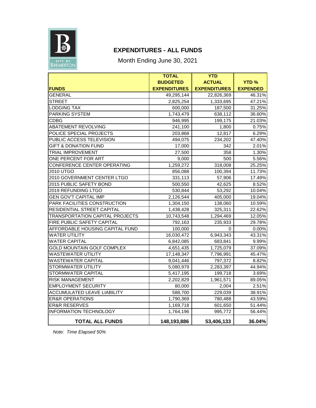

# **EXPENDITURES - ALL FUNDS**

Month Ending June 30, 2021

|                                        | <b>TOTAL</b>        | <b>YTD</b>          |                 |
|----------------------------------------|---------------------|---------------------|-----------------|
|                                        | <b>BUDGETED</b>     | <b>ACTUAL</b>       | <b>YTD%</b>     |
| <b>FUNDS</b>                           | <b>EXPENDITURES</b> | <b>EXPENDITURES</b> | <b>EXPENDED</b> |
| <b>GENERAL</b>                         | 49,295,144          | 22,826,369          | 46.31%          |
| <b>STREET</b>                          | 2,825,254           | 1,333,695           | 47.21%          |
| <b>LODGING TAX</b>                     | 600,000             | 187,500             | 31.25%          |
| PARKING SYSTEM                         | 1,743,479           | 638,112             | 36.60%          |
| <b>CDBG</b>                            | 946,995             | 199,175             | 21.03%          |
| <b>ABATEMENT REVOLVING</b>             | 241,100             | 1,800               | 0.75%           |
| POLICE SPECIAL PROJECTS                | 203,868             | 12,817              | 6.29%           |
| PUBLIC ACCESS TELEVISION               | 494,075             | 234,202             | 47.40%          |
| <b>GIFT &amp; DONATION FUND</b>        | 17,000              | 342                 | 2.01%           |
| <b>TRIAL IMPROVEMENT</b>               | 27,500              | 358                 | 1.30%           |
| ONE PERCENT FOR ART                    | 9,000               | 500                 | 5.56%           |
| CONFERENCE CENTER OPERATING            | 1,259,272           | 318,008             | 25.25%          |
| 2010 UTGO                              | 856,088             | 100,394             | 11.73%          |
| 2010 GOVERNMENT CENTER LTGO            | 331,113             | 57,906              | 17.49%          |
| 2015 PUBLIC SAFETY BOND                | 500,550             | 42,625              | 8.52%           |
| 2019 REFUNDING LTGO                    | 530,844             | 53,292              | 10.04%          |
| <b>GEN GOV'T CAPITAL IMP</b>           | 2,126,544           | 405,000             | 19.04%          |
| PARK FACILITIES CONSTRUCTION           | 1,304,150           | 138,060             | 10.59%          |
| <b>RESIDENTIAL STREET CAPITAL</b>      | 1,438,428           | 325,311             | 22.62%          |
| <b>TRANSPORTATION CAPITAL PROJECTS</b> | 10.743.548          | 1,294,469           | 12.05%          |
| FIRE PUBLIC SAFETY CAPITAL             | 792,163             | 235,933             | 29.78%          |
| AFFORDABLE HOUSING CAPITAL FUND        | 100,000             | 0                   | $0.00\%$        |
| <b>WATER UTILITY</b>                   | 16,030,472          | 6,943,343           | 43.31%          |
| <b>WATER CAPITAL</b>                   | 6,842,085           | 683,841             | 9.99%           |
| GOLD MOUNTAIN GOLF COMPLEX             | 4,651,435           | 1,725,079           | 37.09%          |
| <b>WASTEWATER UTILITY</b>              | 17,148,347          | 7,796,991           | 45.47%          |
| <b>WASTEWATER CAPITAL</b>              | 9,041,446           | 797,372             | 8.82%           |
| <b>STORMWATER UTILITY</b>              | 5,080,979           | 2,283,397           | 44.94%          |
| STORMWATER CAPITAL                     | 5,417,195           | 199,718             | 3.69%           |
| <b>RISK MANAGEMENT</b>                 | 2,202,829           | 1,961,571           | 89.05%          |
| <b>EMPLOYMENT SECURITY</b>             | 80,000              | 2,004               | 2.51%           |
| <b>ACCUMULATED LEAVE LIABILITY</b>     | 588,700             | 229,039             | 38.91%          |
| <b>ER&amp;R OPERATIONS</b>             | 1,790,369           | 780,488             | 43.59%          |
| <b>ER&amp;R RESERVES</b>               | 1,169,718           | 601,650             | 51.44%          |
| <b>INFORMATION TECHNOLOGY</b>          | 1,764,196           | 995,772             | 56.44%          |
| <b>TOTAL ALL FUNDS</b>                 | 148,193,886         | 53,406,133          | 36.04%          |

*Note: Time Elapsed 50%*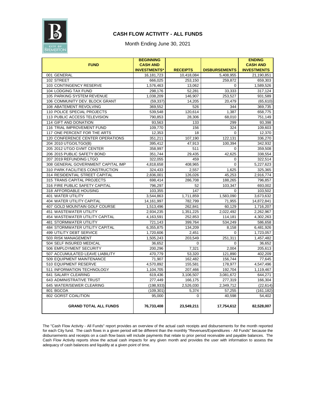

#### **CASH FLOW ACTIVITY - ALL FUNDS**

Month Ending June 30, 2021

| <b>FUND</b>                        | <b>BEGINNING</b>                       |                 |                      | <b>ENDING</b>                         |
|------------------------------------|----------------------------------------|-----------------|----------------------|---------------------------------------|
|                                    | <b>CASH AND</b><br><b>INVESTMENTS*</b> | <b>RECEIPTS</b> | <b>DISBURSEMENTS</b> | <b>CASH AND</b><br><b>INVESTMENTS</b> |
| 001 GENERAL                        | 16, 181, 723                           | 10,418,084      | 5,408,955            | 21.190.851                            |
| 102 STREET                         | 666.025                                | 253,150         | 259.872              | 659,303                               |
| 103 CONTINGENCY RESERVE            | 1,576,463                              | 13,062          | $\Omega$             | 1,589,526                             |
| 104 LODGING TAX FUND               | 298,176                                | 52,281          | 33,333               | 317,124                               |
| 105 PARKING SYSTEM REVENUE         | 1,038,209                              | 146,907         | 253,527              | 931,589                               |
| 106 COMMUNITY DEV. BLOCK GRANT     | (59, 337)                              | 14,205          | 20,479               | (65, 610)                             |
| 108 ABATEMENT REVOLVING            | 369,552                                | 526             | 344                  | 369.735                               |
| 110 POLICE SPECIAL PROJECTS        | 539,548                                | 120,614         | 1,387                | 658,775                               |
| 113 PUBLIC ACCESS TELEVISION       | 790,853                                | 28,306          | 68,010               | 751,149                               |
| 114 GIFT AND DONATION              | 93,563                                 | 133             | 299                  | 93,398                                |
| 116 TRIAL IMPROVEMENT FUND         | 109,770                                | 156             | 324                  | 109,603                               |
| 117 ONE PERCENT FOR THE ARTS       | 12,353                                 | 18              | $\Omega$             | 12,370                                |
| 120 CONFERENCE CENTER OPERATIONS   | 351,211                                | 107,190         | 122,131              | 336,270                               |
| 204 2010 UTGO/LTGO(B)              | 395,412                                | 47,913          | 100,394              | 342,932                               |
| 205 2012 UTGO GVMT CENTER          | 358,997                                | 511             | $\mathbf 0$          | 359,508                               |
| 206 2015 PUBLIC SAFETY BOND        | 351,744                                | 29,435          | 42,625               | 338,554                               |
| 207 2019 REFUNDING LTGO            | 322,055                                | 459             | 0                    | 322,514                               |
| 308 GENERAL GOVERNMENT CAPITAL IMP | 4,818,658                              | 408,965         | $\mathbf 0$          | 5,227,623                             |
| 310 PARK FACILITIES CONSTRUCTION   | 324,433                                | 2,557           | 1,625                | 325,365                               |
| 314 RESIDENTIAL STREET CAPITAL     | 2,836,001                              | 126,026         | 45,253               | 2,916,774                             |
| 315 TRANS CAPITAL PROJECTS         | 698,414                                | 286,708         | 188,265              | 796,857                               |
| 316 FIRE PUBLIC SAFETY CAPITAL     | 796.297                                | 52              | 103,347              | 693.002                               |
| 318 AFFORDABLE HOUSING             | 103,355                                | 147             | $\Omega$             | 103,502                               |
| <b>401 WATER UTILITY</b>           | 3,544,863                              | 1,711,859       | 1,583,090            | 3,673,632                             |
| 404 WATER UTILITY CAPITAL          | 14,161,997                             | 782,799         | 71,955               | 14,872,841                            |
| 407 GOLD MOUNTAIN GOLF COURSE      | 1,513,496                              | 262,841         | 60,129               | 1,716,207                             |
| <b>451 WASTEWATER UTILITY</b>      | 2,934,235                              | 1,351,225       | 2,022,492            | 2,262,967                             |
| 454 WASTEWATER UTILITY CAPITAL     | 4,163,591                              | 252,853         | 114,181              | 4,302,263                             |
| <b>481 STORMWATER UTILITY</b>      | 721,143                                | 399,764         | 534,249              | 586,658                               |
| 484 STORMWATER UTILITY CAPITAL     | 6,355,875                              | 134,209         | 8,158                | 6,481,926                             |
| 499 UTILITY DEBT SERVICE           | 1,720,606                              | 2,451           | $\Omega$             | 1,723,057                             |
| 503 RISK MANAGEMENT                | 1,505,243                              | 203.549         | 251,311              | 1,457,482                             |
| 504 SELF INSURED MEDICAL           | 36,652                                 | 0               | $\Omega$             | 36,652                                |
| 506 EMPLOYMENT SECURITY            | 200,296                                | 7,321           | 2,004                | 205,613                               |
| 507 ACCUMULATED LEAVE LIABILITY    | 470,779                                | 53,320          | 121,890              | 402,209                               |
| 509 EQUIPMENT MAINTENANCE          | 71,907                                 | 162,482         | 156,744              | 77,645                                |
| 510 EQUIPMENT RESERVE              | 4,570,892                              | 155,581         | 178,977              | 4,547,496                             |
| 511 INFORMATION TECHNOLOGY         | 1,104,705                              | 207,466         | 192,704              | 1,119,467                             |
| 641 SALARY CLEARING                | 619,436                                | 3,106,507       | 3,081,672            | 644,271                               |
| 643 ADMINISTRATIVE TRUST           | 277,449                                | 166,175         | 277,319              | 166,304                               |
| 645 WATER/SEWER CLEARING           | (198, 933)                             | 2,526,030       | 2,349,712            | (22, 614)                             |
| 801 BGCOA                          | (109, 301)                             | 5,374           | 57.255               | (161.182)                             |
| 802 GORST COALITION                | 95,000                                 | 0               | 40,598               | 54.402                                |
| <b>GRAND TOTAL ALL FUNDS</b>       | 76,733,408                             | 23,549,211      | 17,754,612           | 82,528,007                            |

The "Cash Flow Activity - All Funds" report provides an overview of the actual cash receipts and disbursements for the month reported for each City fund. The cash flows in a given period will be different than the monthly "Revenues/Expenditures - All Funds" because the disbursements and receipts on a cash flow basis will include payments that relate to prior period receivable and payable balances. The Cash Flow Activity reports show the actual cash impacts for any given month and provides the user with information to assess the adequacy of cash balances and liquidity at a given point of time.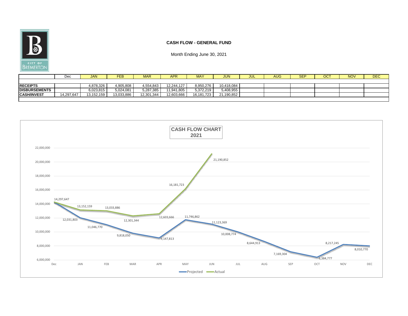

#### **CASH FLOW - GENERAL FUND**

|                      | Dec        | <b>JAN</b> | <b>FEB</b> | <b>MAR</b> | APR                 | <b>MAY</b> | <b>JUN</b> | ◡◡∟ | <b>AUG</b> | <b>SEP</b> | ост | <b>NOV</b> | <b>DEC</b> |
|----------------------|------------|------------|------------|------------|---------------------|------------|------------|-----|------------|------------|-----|------------|------------|
|                      |            |            |            |            |                     |            |            |     |            |            |     |            |            |
| <b>RECEIPTS</b>      |            | 4.878.326  | 4.905.808  | 4.554.843  | 12.244.127          | 8,950,276  | 10,418,084 |     |            |            |     |            |            |
| <b>DISBURSEMENTS</b> |            | 6,023,815  | 5,024,081  | 5,287,385  | 1,941,805<br>- ت. ا | 5,372,219  | 5,408,955  |     |            |            |     |            |            |
| <b>CASH/INVEST</b>   | 14,297,647 | 13,152,159 | 13,033,886 | 12,301,344 | 12,603,666          | 16,181,723 | 21,190,852 |     |            |            |     |            |            |
|                      |            |            |            |            |                     |            |            |     |            |            |     |            |            |